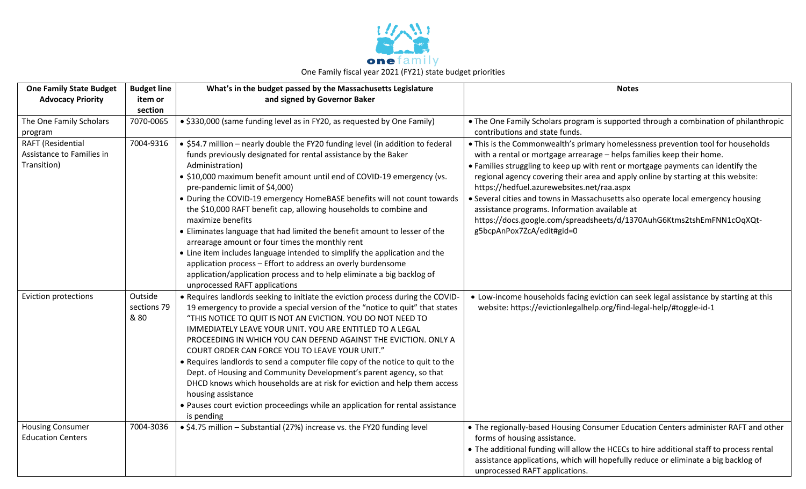

| <b>One Family State Budget</b>                                | <b>Budget line</b>             | What's in the budget passed by the Massachusetts Legislature                                                                                                                                                                                                                                                                                                                                                                                                                                                                                                                                                                                                                                                                                                                                                                                     | <b>Notes</b>                                                                                                                                                                                                                                                                                                                                                                                                                                                                                                                                                                                                                |
|---------------------------------------------------------------|--------------------------------|--------------------------------------------------------------------------------------------------------------------------------------------------------------------------------------------------------------------------------------------------------------------------------------------------------------------------------------------------------------------------------------------------------------------------------------------------------------------------------------------------------------------------------------------------------------------------------------------------------------------------------------------------------------------------------------------------------------------------------------------------------------------------------------------------------------------------------------------------|-----------------------------------------------------------------------------------------------------------------------------------------------------------------------------------------------------------------------------------------------------------------------------------------------------------------------------------------------------------------------------------------------------------------------------------------------------------------------------------------------------------------------------------------------------------------------------------------------------------------------------|
| <b>Advocacy Priority</b>                                      | item or                        | and signed by Governor Baker                                                                                                                                                                                                                                                                                                                                                                                                                                                                                                                                                                                                                                                                                                                                                                                                                     |                                                                                                                                                                                                                                                                                                                                                                                                                                                                                                                                                                                                                             |
|                                                               | section                        |                                                                                                                                                                                                                                                                                                                                                                                                                                                                                                                                                                                                                                                                                                                                                                                                                                                  |                                                                                                                                                                                                                                                                                                                                                                                                                                                                                                                                                                                                                             |
| The One Family Scholars<br>program                            | 7070-0065                      | • \$330,000 (same funding level as in FY20, as requested by One Family)                                                                                                                                                                                                                                                                                                                                                                                                                                                                                                                                                                                                                                                                                                                                                                          | • The One Family Scholars program is supported through a combination of philanthropic<br>contributions and state funds.                                                                                                                                                                                                                                                                                                                                                                                                                                                                                                     |
| RAFT (Residential<br>Assistance to Families in<br>Transition) | 7004-9316                      | • \$54.7 million - nearly double the FY20 funding level (in addition to federal<br>funds previously designated for rental assistance by the Baker<br>Administration)<br>• \$10,000 maximum benefit amount until end of COVID-19 emergency (vs.<br>pre-pandemic limit of \$4,000)<br>• During the COVID-19 emergency HomeBASE benefits will not count towards<br>the \$10,000 RAFT benefit cap, allowing households to combine and<br>maximize benefits<br>• Eliminates language that had limited the benefit amount to lesser of the<br>arrearage amount or four times the monthly rent<br>• Line item includes language intended to simplify the application and the<br>application process - Effort to address an overly burdensome<br>application/application process and to help eliminate a big backlog of<br>unprocessed RAFT applications | . This is the Commonwealth's primary homelessness prevention tool for households<br>with a rental or mortgage arrearage - helps families keep their home.<br>• Families struggling to keep up with rent or mortgage payments can identify the<br>regional agency covering their area and apply online by starting at this website:<br>https://hedfuel.azurewebsites.net/raa.aspx<br>• Several cities and towns in Massachusetts also operate local emergency housing<br>assistance programs. Information available at<br>https://docs.google.com/spreadsheets/d/1370AuhG6Ktms2tshEmFNN1cOqXQt-<br>g5bcpAnPox7ZcA/edit#gid=0 |
| <b>Eviction protections</b>                                   | Outside<br>sections 79<br>& 80 | . Requires landlords seeking to initiate the eviction process during the COVID-<br>19 emergency to provide a special version of the "notice to quit" that states<br>"THIS NOTICE TO QUIT IS NOT AN EVICTION. YOU DO NOT NEED TO<br>IMMEDIATELY LEAVE YOUR UNIT. YOU ARE ENTITLED TO A LEGAL<br>PROCEEDING IN WHICH YOU CAN DEFEND AGAINST THE EVICTION. ONLY A<br>COURT ORDER CAN FORCE YOU TO LEAVE YOUR UNIT."<br>• Requires landlords to send a computer file copy of the notice to quit to the<br>Dept. of Housing and Community Development's parent agency, so that<br>DHCD knows which households are at risk for eviction and help them access<br>housing assistance<br>• Pauses court eviction proceedings while an application for rental assistance<br>is pending                                                                     | • Low-income households facing eviction can seek legal assistance by starting at this<br>website: https://evictionlegalhelp.org/find-legal-help/#toggle-id-1                                                                                                                                                                                                                                                                                                                                                                                                                                                                |
| <b>Housing Consumer</b><br><b>Education Centers</b>           | 7004-3036                      | • \$4.75 million - Substantial (27%) increase vs. the FY20 funding level                                                                                                                                                                                                                                                                                                                                                                                                                                                                                                                                                                                                                                                                                                                                                                         | • The regionally-based Housing Consumer Education Centers administer RAFT and other<br>forms of housing assistance.<br>• The additional funding will allow the HCECs to hire additional staff to process rental<br>assistance applications, which will hopefully reduce or eliminate a big backlog of<br>unprocessed RAFT applications.                                                                                                                                                                                                                                                                                     |